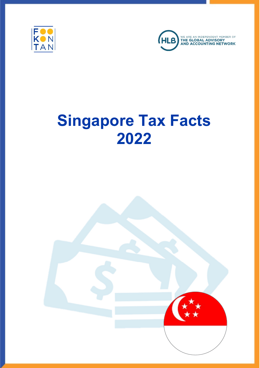



# Singapore Tax Facts 2022

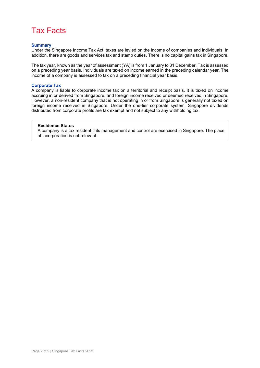### Tax Facts

#### **Summary**

Under the Singapore Income Tax Act, taxes are levied on the income of companies and individuals. In addition, there are goods and services tax and stamp duties. There is no capital gains tax in Singapore.

The tax year, known as the year of assessment (YA) is from 1 January to 31 December. Tax is assessed on a preceding year basis. Individuals are taxed on income earned in the preceding calendar year. The income of a company is assessed to tax on a preceding financial year basis.

#### Corporate Tax

A company is liable to corporate income tax on a territorial and receipt basis. It is taxed on income accruing in or derived from Singapore, and foreign income received or deemed received in Singapore. However, a non-resident company that is not operating in or from Singapore is generally not taxed on foreign income received in Singapore. Under the one-tier corporate system, Singapore dividends distributed from corporate profits are tax exempt and not subject to any withholding tax.

#### Residence Status

A company is a tax resident if its management and control are exercised in Singapore. The place of incorporation is not relevant.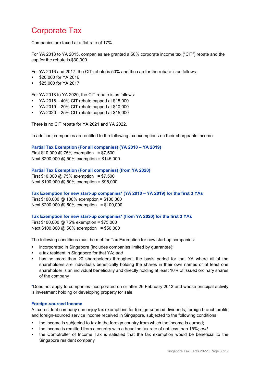# Corporate Tax

Companies are taxed at a flat rate of 17%.

For YA 2013 to YA 2015, companies are granted a 50% corporate income tax ("CIT") rebate and the cap for the rebate is \$30,000.

For YA 2016 and 2017, the CIT rebate is 50% and the cap for the rebate is as follows:

- \$20,000 for YA 2016
- \$25,000 for YA 2017

For YA 2018 to YA 2020, the CIT rebate is as follows:

- $\blacktriangleright$  YA 2018 40% CIT rebate capped at \$15,000
- $\blacktriangleright$  YA 2019 20% CIT rebate capped at \$10,000
- $\blacktriangleright$  YA 2020 25% CIT rebate capped at \$15,000

There is no CIT rebate for YA 2021 and YA 2022.

In addition, companies are entitled to the following tax exemptions on their chargeable income:

Partial Tax Exemption (For all companies) (YA 2010 – YA 2019)

First  $$10,000 \text{ @ } 75\%$  exemption = \$7,500 Next \$290,000 @ 50% exemption = \$145,000

#### Partial Tax Exemption (For all companies) (from YA 2020)

First  $$10,000 \text{ @ } 75\%$  exemption = \$7,500 Next \$190,000 @ 50% exemption = \$95,000

Tax Exemption for new start-up companies\* (YA 2010 – YA 2019) for the first 3 YAs

First \$100,000 @ 100% exemption = \$100,000 Next \$200,000 @ 50% exemption = \$100,000

#### Tax Exemption for new start-up companies\* (from YA 2020) for the first 3 YAs

First \$100,000 @ 75% exemption = \$75,000 Next  $$100,000 \text{ @ } 50\%$  exemption = \$50,000

The following conditions must be met for Tax Exemption for new start-up companies:

- incorporated in Singapore (includes companies limited by guarantee);
- a tax resident in Singapore for that YA; and
- has no more than 20 shareholders throughout the basis period for that YA where all of the shareholders are individuals beneficially holding the shares in their own names or at least one shareholder is an individual beneficially and directly holding at least 10% of issued ordinary shares of the company

\*Does not apply to companies incorporated on or after 26 February 2013 and whose principal activity is investment holding or developing property for sale.

### Foreign-sourced Income

A tax resident company can enjoy tax exemptions for foreign-sourced dividends, foreign branch profits and foreign-sourced service income received in Singapore, subjected to the following conditions:

- the income is subjected to tax in the foreign country from which the income is earned;
- the income is remitted from a country with a headline tax rate of not less than 15%; and
- the Comptroller of Income Tax is satisfied that the tax exemption would be beneficial to the Singapore resident company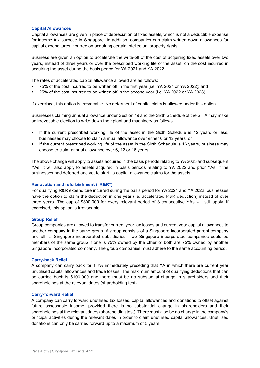#### Capital Allowances

Capital allowances are given in place of depreciation of fixed assets, which is not a deductible expense for income tax purpose in Singapore. In addition, companies can claim written down allowances for capital expenditures incurred on acquiring certain intellectual property rights.

Business are given an option to accelerate the write-off of the cost of acquiring fixed assets over two years, instead of three years or over the prescribed working life of the asset, on the cost incurred in acquiring the asset during the basis period for YA 2021 and YA 2022.

The rates of accelerated capital allowance allowed are as follows:

- 75% of the cost incurred to be written off in the first year (i.e. YA 2021 or YA 2022); and
- 25% of the cost incurred to be written off in the second year (i.e. YA 2022 or YA 2023).

If exercised, this option is irrevocable. No deferment of capital claim is allowed under this option.

Businesses claiming annual allowance under Section 19 and the Sixth Schedule of the SITA may make an irrevocable election to write down their plant and machinery as follows:

- If the current prescribed working life of the asset in the Sixth Schedule is 12 years or less, businesses may choose to claim annual allowance over either 6 or 12 years; or
- If the current prescribed working life of the asset in the Sixth Schedule is 16 years, business may choose to claim annual allowance over 6, 12 or 16 years.

The above change will apply to assets acquired in the basis periods relating to YA 2023 and subsequent YAs. It will also apply to assets acquired in basis periods relating to YA 2022 and prior YAs, if the businesses had deferred and yet to start its capital allowance claims for the assets.

#### Renovation and refurbishment ("R&R")

For qualifying R&R expenditure incurred during the basis period for YA 2021 and YA 2022, businesses have the option to claim the deduction in one year (i.e. accelerated R&R deduction) instead of over three years. The cap of \$300,000 for every relevant period of 3 consecutive YAs will still apply. If exercised, this option is irrevocable.

#### Group Relief

Group companies are allowed to transfer current year tax losses and current year capital allowances to another company in the same group. A group consists of a Singapore incorporated parent company and all its Singapore incorporated subsidiaries. Two Singapore incorporated companies could be members of the same group if one is 75% owned by the other or both are 75% owned by another Singapore incorporated company. The group companies must adhere to the same accounting period.

#### Carry-back Relief

A company can carry back for 1 YA immediately preceding that YA in which there are current year unutilised capital allowances and trade losses. The maximum amount of qualifying deductions that can be carried back is \$100,000 and there must be no substantial change in shareholders and their shareholdings at the relevant dates (shareholding test).

#### Carry-forward Relief

A company can carry forward unutilised tax losses, capital allowances and donations to offset against future assessable income, provided there is no substantial change in shareholders and their shareholdings at the relevant dates (shareholding test). There must also be no change in the company's principal activities during the relevant dates in order to claim unutilised capital allowances. Unutilised donations can only be carried forward up to a maximum of 5 years.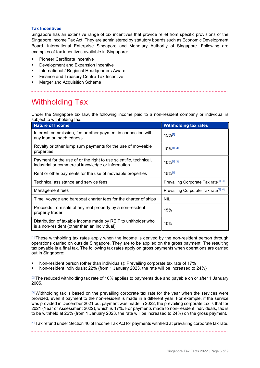#### Tax Incentives

Singapore has an extensive range of tax incentives that provide relief from specific provisions of the Singapore Income Tax Act. They are administered by statutory boards such as Economic Development Board, International Enterprise Singapore and Monetary Authority of Singapore. Following are examples of tax incentives available in Singapore:

- Pioneer Certificate Incentive
- Development and Expansion Incentive
- International / Regional Headquarters Award
- Finance and Treasury Centre Tax Incentive
- Merger and Acquisition Scheme

### Withholding Tax

Under the Singapore tax law, the following income paid to a non-resident company or individual is subject to withholding tax:

| <b>Nature of Income</b>                                                                                                | <b>Withholding tax rates</b>                     |
|------------------------------------------------------------------------------------------------------------------------|--------------------------------------------------|
| Interest, commission, fee or other payment in connection with<br>any loan or indebtedness                              | $15\%$ <sup>[1]</sup>                            |
| Royalty or other lump sum payments for the use of moveable<br>properties                                               | 10%[1][2]                                        |
| Payment for the use of or the right to use scientific, technical,<br>industrial or commercial knowledge or information | 10%[1][2]                                        |
| Rent or other payments for the use of moveable properties                                                              | $15\%$ <sup>[1]</sup>                            |
| Technical assistance and service fees                                                                                  | Prevailing Corporate Tax rate <sup>[3] [4]</sup> |
| Management fees                                                                                                        | Prevailing Corporate Tax rate <sup>[3] [4]</sup> |
| Time, voyage and bareboat charter fees for the charter of ships                                                        | <b>NIL</b>                                       |
| Proceeds from sale of any real property by a non-resident<br>property trader                                           | 15%                                              |
| Distribution of taxable income made by REIT to unitholder who<br>is a non-resident (other than an individual)          | 10%                                              |

 $<sup>[1]</sup> These with holding tax rates apply when the income is derived by the non-resident person through$ </sup> operations carried on outside Singapore. They are to be applied on the gross payment. The resulting tax payable is a final tax. The following tax rates apply on gross payments when operations are carried out in Singapore:

- Non-resident person (other than individuals): Prevailing corporate tax rate of 17%
- Non-resident individuals: 22% (from 1 January 2023, the rate will be increased to 24%)

 $[2]$  The reduced withholding tax rate of 10% applies to payments due and payable on or after 1 January 2005.

 $[3]$  Withholding tax is based on the prevailing corporate tax rate for the year when the services were provided, even if payment to the non-resident is made in a different year. For example, if the service was provided in December 2021 but payment was made in 2022, the prevailing corporate tax is that for 2021 (Year of Assessment 2022), which is 17%. For payments made to non-resident individuals, tax is to be withheld at 22% (from 1 January 2023, the rate will be increased to 24%) on the gross payment.

[4] Tax refund under Section 46 of Income Tax Act for payments withheld at prevailing corporate tax rate.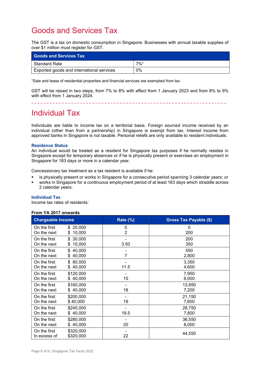# Goods and Services Tax

The GST is a tax on domestic consumption in Singapore. Businesses with annual taxable supplies of over \$1 million must register for GST.

| <b>Goods and Services Tax</b>             |                    |
|-------------------------------------------|--------------------|
| <b>Standard Rate</b>                      | $7\%$ <sup>*</sup> |
| Exported goods and international services | 0%                 |

\*Sale and lease of residential properties and financial services are exempted from tax

GST will be raised in two steps, from 7% to 8% with effect from 1 January 2023 and from 8% to 9% with effect from 1 January 2024.

### Individual Tax

Individuals are liable to income tax on a territorial basis. Foreign sourced income received by an individual (other than from a partnership) in Singapore is exempt from tax. Interest income from approved banks in Singapore is not taxable. Personal reliefs are only available to resident individuals.

#### Residence Status

An individual would be treated as a resident for Singapore tax purposes if he normally resides in Singapore except for temporary absences or if he is physically present or exercises an employment in Singapore for 183 days or more in a calendar year.

Concessionary tax treatment as a tax resident is available if he:

- is physically present or works in Singapore for a consecutive period spanning 3 calendar years; or
- works in Singapore for a continuous employment period of at least 183 days which straddle across 2 calendar years.

#### Individual Tax

Income tax rates of residents:

#### From YA 2017 onwards

| <b>Chargeable Income</b> |               | <b>Rate (%)</b> | <b>Gross Tax Payable (\$)</b> |
|--------------------------|---------------|-----------------|-------------------------------|
| On the first             | 20,000<br>\$  | 0               | 0                             |
| On the next              | 10,000<br>S   | 2               | 200                           |
| On the first             | 30,000<br>\$  |                 | 200                           |
| On the next              | 10,000<br>\$  | 3.50            | 350                           |
| On the first             | 40,000<br>\$  |                 | 550                           |
| On the next              | 40,000<br>\$  | 7               | 2,800                         |
| On the first             | 80,000<br>\$  |                 | 3,350                         |
| On the next              | 40,000<br>S   | 11.5            | 4,600                         |
| On the first             | \$120,000     |                 | 7,950                         |
| On the next              | 40,000<br>\$  | 15              | 6,000                         |
| On the first             | \$160,000     |                 | 13,950                        |
| On the next              | 40,000<br>\$  | 18              | 7,200                         |
| On the first             | \$200,000     |                 | 21,150                        |
| On the next              | \$40,000      | 19              | 7,600                         |
| On the first             | \$240,000     |                 | 28,750                        |
| On the next              | 40,000<br>\$  | 19.5            | 7,800                         |
| On the first             | \$280,000     |                 | 36,550                        |
| On the next              | 40,000<br>\$. | 20              | 8,000                         |
| On the first             | \$320,000     |                 | 44,550                        |
| In excess of             | \$320,000     | 22              |                               |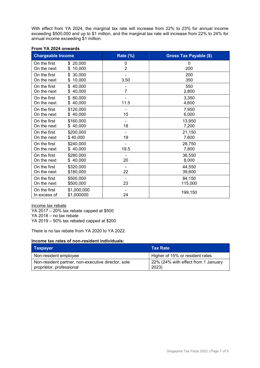With effect from YA 2024, the marginal tax rate will increase from 22% to 23% for annual income exceeding \$500,000 and up to \$1 million, and the marginal tax rate will increase from 22% to 24% for annual income exceeding \$1 million.

| <b>Chargeable Income</b>     |                               | Rate (%) | <b>Gross Tax Payable (\$)</b> |
|------------------------------|-------------------------------|----------|-------------------------------|
| On the first<br>On the next  | 20,000<br>\$.<br>10,000<br>\$ | 0<br>2   | 0<br>200                      |
| On the first<br>On the next  | 30,000<br>\$<br>10,000<br>\$  | 3.50     | 200<br>350                    |
| On the first<br>On the next  | 40,000<br>\$<br>40,000<br>\$  | 7        | 550<br>2,800                  |
| On the first<br>On the next  | 80,000<br>\$<br>40,000<br>\$  | 11.5     | 3,350<br>4,600                |
| On the first                 | \$120,000                     | 15       | 7,950                         |
| On the next                  | \$40,000                      |          | 6,000                         |
| On the first                 | \$160,000                     | 18       | 13,950                        |
| On the next                  | \$40,000                      |          | 7,200                         |
| On the first                 | \$200,000                     | 19       | 21,150                        |
| On the next                  | \$40,000                      |          | 7,600                         |
| On the first                 | \$240,000                     | 19.5     | 28,750                        |
| On the next                  | \$40,000                      |          | 7,800                         |
| On the first                 | \$280,000                     | 20       | 36,550                        |
| On the next                  | \$40,000                      |          | 8,000                         |
| On the first                 | \$320,000                     | 22       | 44,550                        |
| On the next                  | \$180,000                     |          | 39,600                        |
| On the first                 | \$500,000                     | 23       | 84,150                        |
| On the next                  | \$500,000                     |          | 115,000                       |
| On the first<br>In excess of | \$1,000,000<br>\$1,000000     | 24       | 199,150                       |

### From YA 2024 onwards

Income tax rebate YA 2017 – 20% tax rebate capped at \$500 YA 2018 – no tax rebate YA 2019 – 50% tax rebated capped at \$200

There is no tax rebate from YA 2020 to YA 2022.

### Income tax rates of non-resident individuals:

| Taxpayer                                                                       | <b>Tax Rate</b>                              |
|--------------------------------------------------------------------------------|----------------------------------------------|
| Non-resident employee                                                          | Higher of 15% or resident rates              |
| Non-resident partner, non-executive director, sole<br>proprietor, professional | 22% (24% with effect from 1 January<br>2023) |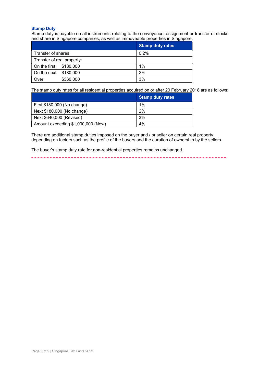#### Stamp Duty

Stamp duty is payable on all instruments relating to the conveyance, assignment or transfer of stocks and share in Singapore companies, as well as immoveable properties in Singapore.

|                            |           | <b>Stamp duty rates</b> |
|----------------------------|-----------|-------------------------|
| Transfer of shares         |           | 0.2%                    |
| Transfer of real property: |           |                         |
| On the first               | \$180,000 | 1%                      |
| On the next                | \$180,000 | 2%                      |
| Over                       | \$360,000 | 3%                      |

The stamp duty rates for all residential properties acquired on or after 20 February 2018 are as follows:

|                                    | <b>Stamp duty rates</b> |
|------------------------------------|-------------------------|
| First \$180,000 (No change)        | 1%                      |
| Next \$180,000 (No change)         | 2%                      |
| Next \$640,000 (Revised)           | 3%                      |
| Amount exceeding \$1,000,000 (New) | 4%                      |

There are additional stamp duties imposed on the buyer and / or seller on certain real property depending on factors such as the profile of the buyers and the duration of ownership by the sellers.

The buyer's stamp duty rate for non-residential properties remains unchanged.